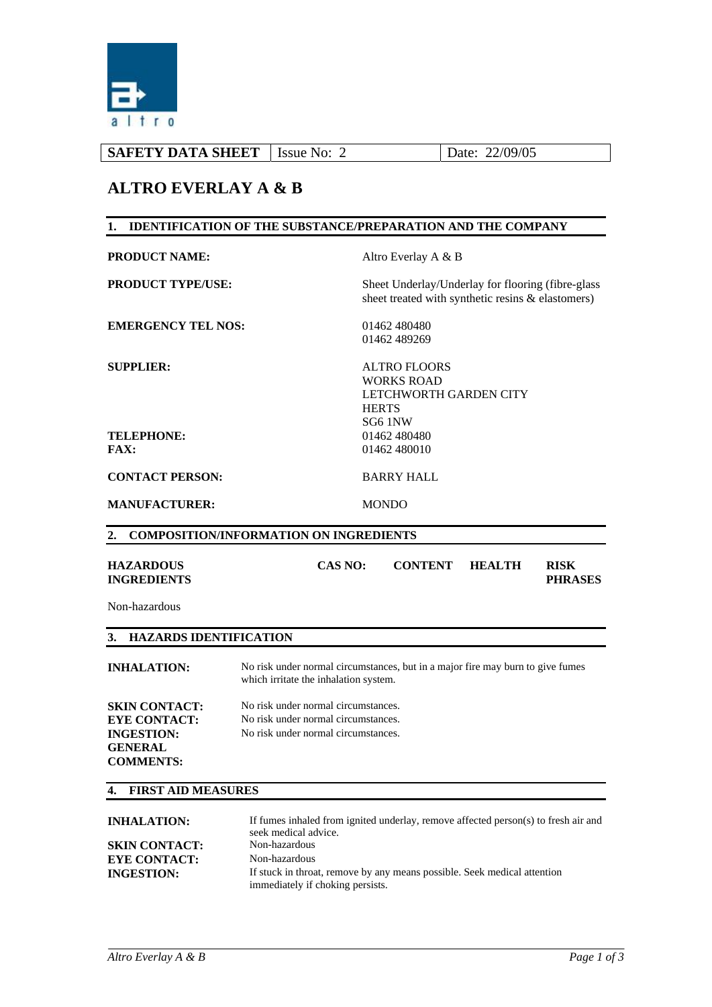

| Issue No: | Date: 22/09/05<br><b>SAFETY DATA SHEET</b> |
|-----------|--------------------------------------------|
|-----------|--------------------------------------------|

## **ALTRO EVERLAY A & B**

## **1. IDENTIFICATION OF THE SUBSTANCE/PREPARATION AND THE COMPANY PRODUCT NAME:** Altro Everlay A & B **PRODUCT TYPE/USE:** Sheet Underlay/Underlay for flooring (fibre-glass sheet treated with synthetic resins & elastomers) **EMERGENCY TEL NOS:** 01462 480480 01462 489269 **SUPPLIER:** ALTRO FLOORS WORKS ROAD LETCHWORTH GARDEN CITY **HERTS** SG6 1NW **TELEPHONE:** 01462 480480 **FAX:** 01462 480010 **CONTACT PERSON:** BARRY HALL **MANUFACTURER:** MONDO **2. COMPOSITION/INFORMATION ON INGREDIENTS HAZARDOUS INGREDIENTS CAS NO: CONTENT HEALTH RISK PHRASES**  Non-hazardous

### **3. HAZARDS IDENTIFICATION**

| <b>INHALATION:</b>                                                                                     | No risk under normal circumstances, but in a major fire may burn to give fumes<br>which irritate the inhalation system. |
|--------------------------------------------------------------------------------------------------------|-------------------------------------------------------------------------------------------------------------------------|
| <b>SKIN CONTACT:</b><br><b>EYE CONTACT:</b><br><b>INGESTION:</b><br><b>GENERAL</b><br><b>COMMENTS:</b> | No risk under normal circumstances.<br>No risk under normal circumstances.<br>No risk under normal circumstances.       |

#### **4. FIRST AID MEASURES**

| <b>INHALATION:</b>   | If fumes inhaled from ignited underlay, remove affected person(s) to fresh air and                           |
|----------------------|--------------------------------------------------------------------------------------------------------------|
|                      | seek medical advice.                                                                                         |
| <b>SKIN CONTACT:</b> | Non-hazardous                                                                                                |
| <b>EYE CONTACT:</b>  | Non-hazardous                                                                                                |
| <b>INGESTION:</b>    | If stuck in throat, remove by any means possible. Seek medical attention<br>immediately if choking persists. |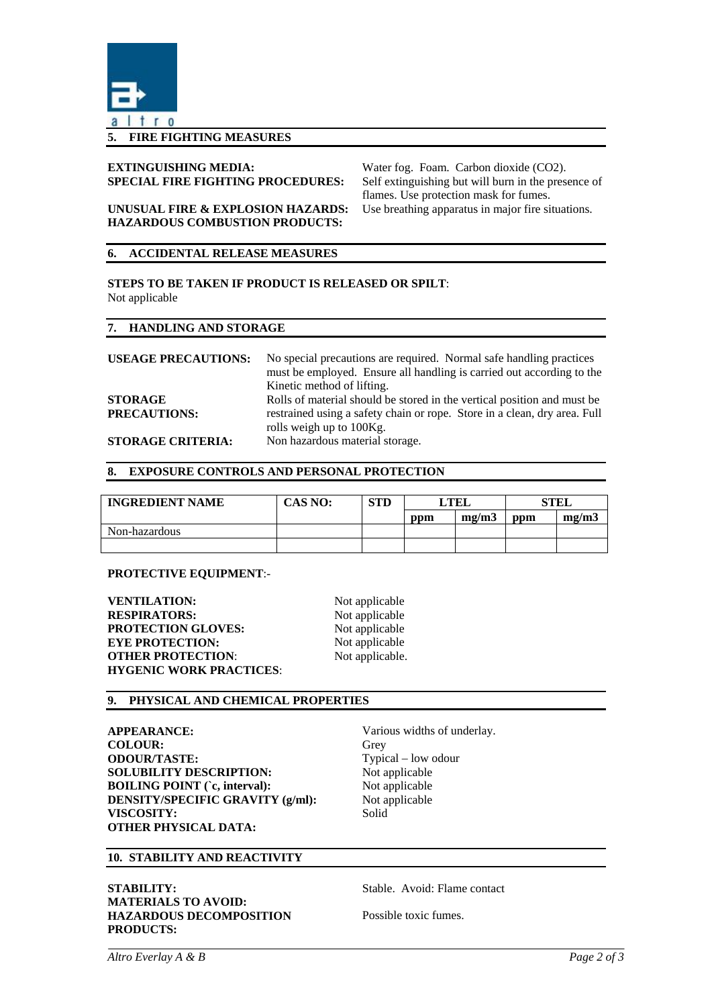

#### **5. FIRE FIGHTING MEASURES**

# **EXTINGUISHING MEDIA:** Water fog. Foam. Carbon dioxide (CO2).

**SPECIAL FIRE FIGHTING PROCEDURES:** Self extinguishing but will burn in the presence of flames. Use protection mask for fumes. **UNUSUAL FIRE & EXPLOSION HAZARDS:** Use breathing apparatus in major fire situations.

# **HAZARDOUS COMBUSTION PRODUCTS:**

#### **6. ACCIDENTAL RELEASE MEASURES**

#### **STEPS TO BE TAKEN IF PRODUCT IS RELEASED OR SPILT**: Not applicable

#### **7. HANDLING AND STORAGE**

| <b>USEAGE PRECAUTIONS:</b> | No special precautions are required. Normal safe handling practices       |
|----------------------------|---------------------------------------------------------------------------|
|                            | must be employed. Ensure all handling is carried out according to the     |
|                            | Kinetic method of lifting.                                                |
| <b>STORAGE</b>             | Rolls of material should be stored in the vertical position and must be   |
| <b>PRECAUTIONS:</b>        | restrained using a safety chain or rope. Store in a clean, dry area. Full |
|                            | rolls weigh up to 100Kg.                                                  |
| <b>STORAGE CRITERIA:</b>   | Non hazardous material storage.                                           |

#### **8. EXPOSURE CONTROLS AND PERSONAL PROTECTION**

| <b>INGREDIENT NAME</b> | <b>CAS NO:</b> | STD | ' TEL |       | <b>STEL</b> |       |
|------------------------|----------------|-----|-------|-------|-------------|-------|
|                        |                |     | ppm   | mg/m3 | ppm         | mg/m3 |
| Non-hazardous          |                |     |       |       |             |       |
|                        |                |     |       |       |             |       |

#### **PROTECTIVE EQUIPMENT**:-

**VENTILATION:** Not applicable **RESPIRATORS:** Not applicable **PROTECTION GLOVES:** Not applicable **EYE PROTECTION:** Not applicable **OTHER PROTECTION:** Not applicable. **HYGENIC WORK PRACTICES**:

#### **9. PHYSICAL AND CHEMICAL PROPERTIES**

**APPEARANCE:** Various widths of underlay. **COLOUR:** Grey **ODOUR/TASTE:** Typical – low odour **SOLUBILITY DESCRIPTION:** Not applicable **BOILING POINT (`c, interval):** Not applicable **DENSITY/SPECIFIC GRAVITY (g/ml):** Not applicable VISCOSITY: Solid **OTHER PHYSICAL DATA:** 

#### **10. STABILITY AND REACTIVITY**

**STABILITY:** Stable. Avoid: Flame contact **MATERIALS TO AVOID: HAZARDOUS DECOMPOSITION PRODUCTS:** 

Possible toxic fumes.